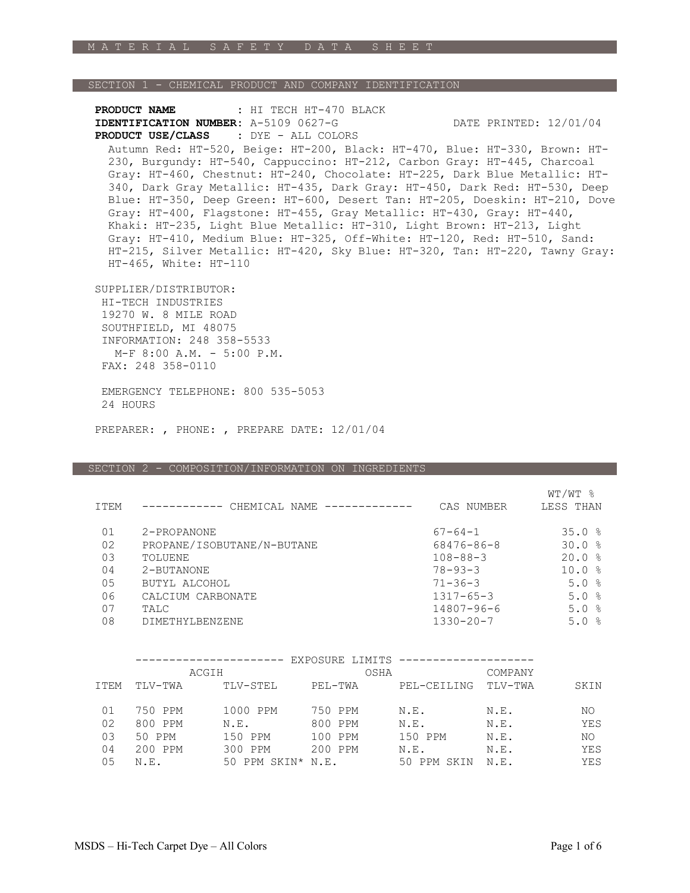## SECTION 1 - CHEMICAL PRODUCT AND COMPANY IDENTIFICATION

**PRODUCT NAME :** HI TECH HT-470 BLACK **IDENTIFICATION NUMBER:** A-5109 0627-G DATE PRINTED: 12/01/04  **PRODUCT USE/CLASS :** DYE - ALL COLORS

Autumn Red: HT-520, Beige: HT-200, Black: HT-470, Blue: HT-330, Brown: HT-230, Burgundy: HT-540, Cappuccino: HT-212, Carbon Gray: HT-445, Charcoal Gray: HT-460, Chestnut: HT-240, Chocolate: HT-225, Dark Blue Metallic: HT-340, Dark Gray Metallic: HT-435, Dark Gray: HT-450, Dark Red: HT-530, Deep Blue: HT-350, Deep Green: HT-600, Desert Tan: HT-205, Doeskin: HT-210, Dove Gray: HT-400, Flagstone: HT-455, Gray Metallic: HT-430, Gray: HT-440, Khaki: HT-235, Light Blue Metallic: HT-310, Light Brown: HT-213, Light Gray: HT-410, Medium Blue: HT-325, Off-White: HT-120, Red: HT-510, Sand: HT-215, Silver Metallic: HT-420, Sky Blue: HT-320, Tan: HT-220, Tawny Gray: HT-465, White: HT-110

SUPPLIER/DISTRIBUTOR:

 HI-TECH INDUSTRIES 19270 W. 8 MILE ROAD SOUTHFIELD, MI 48075 INFORMATION: 248 358-5533 M-F 8:00 A.M. - 5:00 P.M. FAX: 248 358-0110

 EMERGENCY TELEPHONE: 800 535-5053 24 HOURS

PREPARER: , PHONE: , PREPARE DATE: 12/01/04

#### SECTION 2 - COMPOSITION/INFORMATION ON INGREDIENTS

| ITEM | CHEMICAL NAME              | CAS NUMBER      | WT/WT 8<br>LESS THAN |
|------|----------------------------|-----------------|----------------------|
| 01   | 2-PROPANONE                | $67 - 64 - 1$   | 35.0%                |
| 02   | PROPANE/ISOBUTANE/N-BUTANE | 68476-86-8      | 30.0%                |
| 03   | TOLUENE                    | $108 - 88 - 3$  | 20.0%                |
| 04   | 2-BUTANONE                 | $78 - 93 - 3$   | 10.0%                |
| 0.5  | BUTYL ALCOHOL              | $71 - 36 - 3$   | 5.0%                 |
| 06   | CALCIUM CARBONATE          | $1317 - 65 - 3$ | 5.0%                 |
| 07   | TALC                       | 14807-96-6      | 5.0%                 |
| 08   | DIMETHYLBENZENE            | $1330 - 20 - 7$ | 5.0%                 |

|             |         |                   | EXPOSURE LIMITS |                |         |      |
|-------------|---------|-------------------|-----------------|----------------|---------|------|
|             |         | ACGIH             | OSHA            |                | COMPANY |      |
| <b>TTEM</b> | TLV-TWA | TLV-STEL          | PEL-TWA         | PEL-CEILING    | TLV-TWA | SKIN |
| 01          | 750 PPM | 1000 PPM          | 750 PPM         | N.E.           | N.E.    | NO.  |
|             |         |                   |                 |                |         |      |
| 02          | 800 PPM | N.E.              | 800 PPM         | N.E.           | N.E.    | YES  |
| 03          | 50 PPM  | 150 PPM           | 100 PPM         | 150 PPM        | N.E.    | NO.  |
| 04          | 200 PPM | 300 PPM           | 200 PPM         | N.E.           | N.E.    | YES  |
| 05          | N.E.    | 50 PPM SKIN* N.E. |                 | SKIN<br>50 PPM | N.E.    | YES  |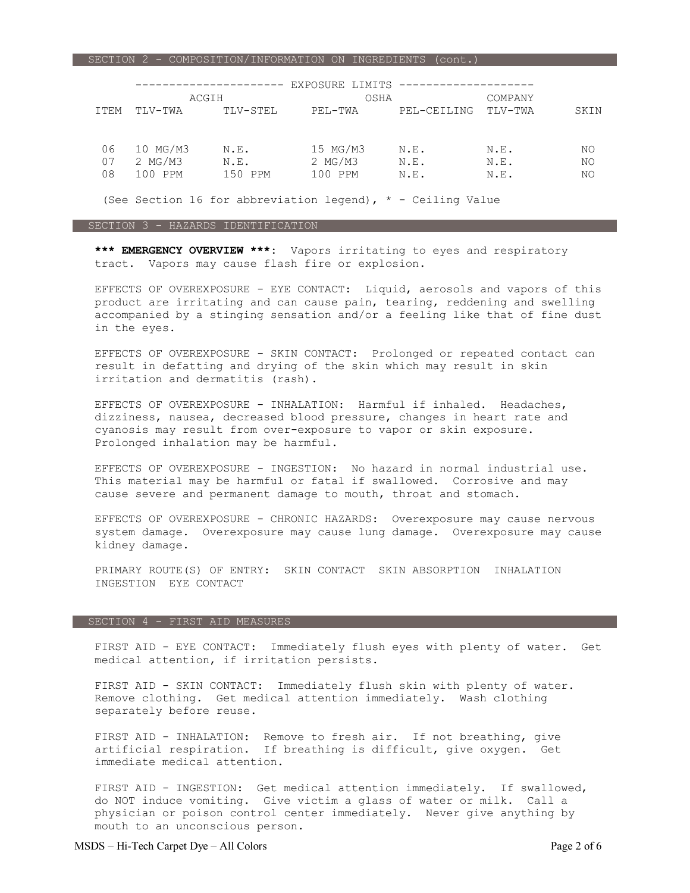SECTION 2 - COMPOSITION/INFORMATION ON INGREDIENTS (cont.)

|                |                                |                         | EXPOSURE LIMITS                  |                      |                      |                |
|----------------|--------------------------------|-------------------------|----------------------------------|----------------------|----------------------|----------------|
|                | ACGIH                          |                         | OSHA                             |                      | COMPANY              |                |
| <b>ITEM</b>    | TLV-TWA                        | TLV-STEL                | PEL-TWA                          | PEL-CEILING          | TLV-TWA              | SKIN           |
| 06<br>07<br>08 | 10 MG/M3<br>2 MG/M3<br>100 PPM | N.E.<br>N.E.<br>150 PPM | 15 MG/M3<br>$2$ MG/M3<br>100 PPM | N.E.<br>N.E.<br>N.E. | N.E.<br>N.E.<br>N.E. | NO<br>NO<br>NO |

(See Section 16 for abbreviation legend),  $*$  - Ceiling Value

## SECTION 3 - HAZARDS IDENTIFICATION

 **\*\*\* EMERGENCY OVERVIEW \*\*\*:** Vapors irritating to eyes and respiratory tract. Vapors may cause flash fire or explosion.

 EFFECTS OF OVEREXPOSURE - EYE CONTACT: Liquid, aerosols and vapors of this product are irritating and can cause pain, tearing, reddening and swelling accompanied by a stinging sensation and/or a feeling like that of fine dust in the eyes.

 EFFECTS OF OVEREXPOSURE - SKIN CONTACT: Prolonged or repeated contact can result in defatting and drying of the skin which may result in skin irritation and dermatitis (rash).

 EFFECTS OF OVEREXPOSURE - INHALATION: Harmful if inhaled. Headaches, dizziness, nausea, decreased blood pressure, changes in heart rate and cyanosis may result from over-exposure to vapor or skin exposure. Prolonged inhalation may be harmful.

 EFFECTS OF OVEREXPOSURE - INGESTION: No hazard in normal industrial use. This material may be harmful or fatal if swallowed. Corrosive and may cause severe and permanent damage to mouth, throat and stomach.

 EFFECTS OF OVEREXPOSURE - CHRONIC HAZARDS: Overexposure may cause nervous system damage. Overexposure may cause lung damage. Overexposure may cause kidney damage.

 PRIMARY ROUTE(S) OF ENTRY: SKIN CONTACT SKIN ABSORPTION INHALATION INGESTION EYE CONTACT

#### SECTION 4 - FIRST AID MEASURES

 FIRST AID - EYE CONTACT: Immediately flush eyes with plenty of water. Get medical attention, if irritation persists.

 FIRST AID - SKIN CONTACT: Immediately flush skin with plenty of water. Remove clothing. Get medical attention immediately. Wash clothing separately before reuse.

FIRST AID - INHALATION: Remove to fresh air. If not breathing, give artificial respiration. If breathing is difficult, give oxygen. Get immediate medical attention.

 FIRST AID - INGESTION: Get medical attention immediately. If swallowed, do NOT induce vomiting. Give victim a glass of water or milk. Call a physician or poison control center immediately. Never give anything by mouth to an unconscious person.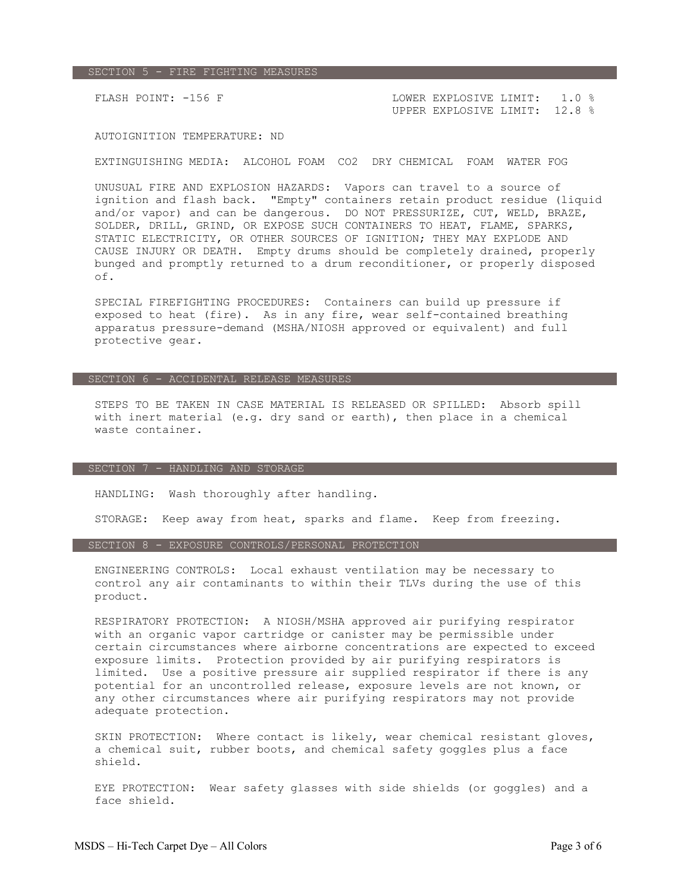## SECTION 5 - FIRE FIGHTING MEASURES

FLASH POINT: -156 F CONSTRAINING LOWER EXPLOSIVE LIMIT: 1.0 % UPPER EXPLOSIVE LIMIT: 12.8 %

# AUTOIGNITION TEMPERATURE: ND

# EXTINGUISHING MEDIA: ALCOHOL FOAM CO2 DRY CHEMICAL FOAM WATER FOG

 UNUSUAL FIRE AND EXPLOSION HAZARDS: Vapors can travel to a source of ignition and flash back. "Empty" containers retain product residue (liquid and/or vapor) and can be dangerous. DO NOT PRESSURIZE, CUT, WELD, BRAZE, SOLDER, DRILL, GRIND, OR EXPOSE SUCH CONTAINERS TO HEAT, FLAME, SPARKS, STATIC ELECTRICITY, OR OTHER SOURCES OF IGNITION; THEY MAY EXPLODE AND CAUSE INJURY OR DEATH. Empty drums should be completely drained, properly bunged and promptly returned to a drum reconditioner, or properly disposed of.

 SPECIAL FIREFIGHTING PROCEDURES: Containers can build up pressure if exposed to heat (fire). As in any fire, wear self-contained breathing apparatus pressure-demand (MSHA/NIOSH approved or equivalent) and full protective gear.

# SECTION 6 - ACCIDENTAL RELEASE MEASURES

 STEPS TO BE TAKEN IN CASE MATERIAL IS RELEASED OR SPILLED: Absorb spill with inert material (e.g. dry sand or earth), then place in a chemical waste container.

## SECTION 7 - HANDLING AND STORAGE

HANDLING: Wash thoroughly after handling.

STORAGE: Keep away from heat, sparks and flame. Keep from freezing.

# SECTION 8 - EXPOSURE CONTROLS/PERSONAL PROTECTION

 ENGINEERING CONTROLS: Local exhaust ventilation may be necessary to control any air contaminants to within their TLVs during the use of this product.

 RESPIRATORY PROTECTION: A NIOSH/MSHA approved air purifying respirator with an organic vapor cartridge or canister may be permissible under certain circumstances where airborne concentrations are expected to exceed exposure limits. Protection provided by air purifying respirators is limited. Use a positive pressure air supplied respirator if there is any potential for an uncontrolled release, exposure levels are not known, or any other circumstances where air purifying respirators may not provide adequate protection.

 SKIN PROTECTION: Where contact is likely, wear chemical resistant gloves, a chemical suit, rubber boots, and chemical safety goggles plus a face shield.

 EYE PROTECTION: Wear safety glasses with side shields (or goggles) and a face shield.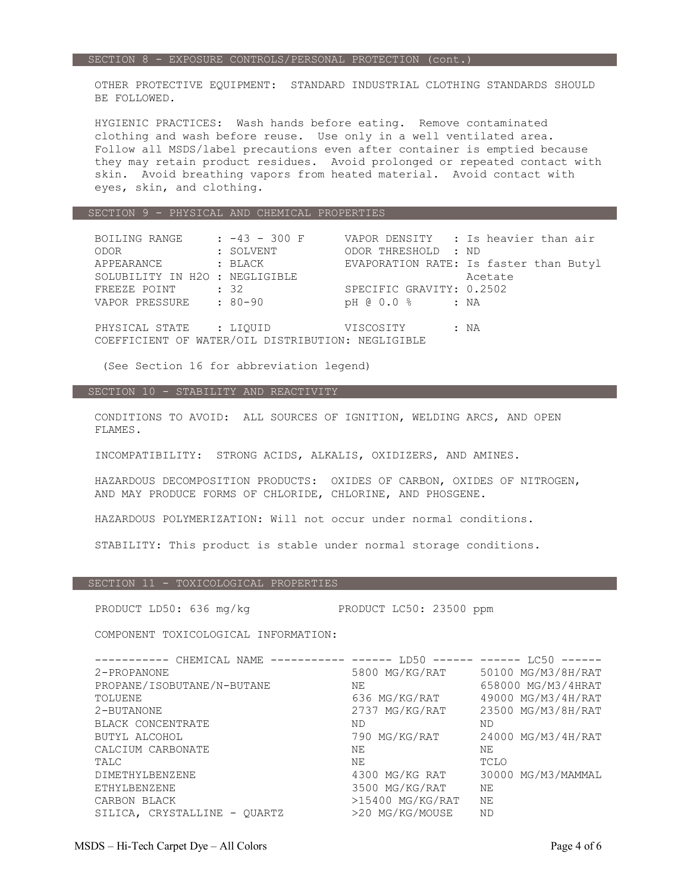OTHER PROTECTIVE EQUIPMENT: STANDARD INDUSTRIAL CLOTHING STANDARDS SHOULD BE FOLLOWED.

 HYGIENIC PRACTICES: Wash hands before eating. Remove contaminated clothing and wash before reuse. Use only in a well ventilated area. Follow all MSDS/label precautions even after container is emptied because they may retain product residues. Avoid prolonged or repeated contact with skin. Avoid breathing vapors from heated material. Avoid contact with eyes, skin, and clothing.

#### SECTION 9 - PHYSICAL AND CHEMICAL PROPERTIES

| BOILING RANGE                                     | $: -43 - 300$ F |                          | VAPOR DENSITY : Is heavier than air    |  |
|---------------------------------------------------|-----------------|--------------------------|----------------------------------------|--|
| ODOR                                              | : SOLVENT       | ODOR THRESHOLD : ND      |                                        |  |
| APPEARANCE                                        | : BLACK         |                          | EVAPORATION RATE: Is faster than Butyl |  |
| SOLUBILITY IN H2O : NEGLIGIBLE                    |                 |                          | Acetate                                |  |
| FREEZE POINT                                      | : 32            | SPECIFIC GRAVITY: 0.2502 |                                        |  |
| VAPOR PRESSURE : 80-90                            |                 | pH @ 0.0 %               | : NA                                   |  |
|                                                   |                 |                          |                                        |  |
| PHYSICAL STATE : LIOUID                           |                 | VISCOSITY                | : NA                                   |  |
| COEFFICIENT OF WATER/OIL DISTRIBUTION: NEGLIGIBLE |                 |                          |                                        |  |
|                                                   |                 |                          |                                        |  |

(See Section 16 for abbreviation legend)

# SECTION 10 - STABILITY AND REACTIVITY

 CONDITIONS TO AVOID: ALL SOURCES OF IGNITION, WELDING ARCS, AND OPEN FLAMES.

INCOMPATIBILITY: STRONG ACIDS, ALKALIS, OXIDIZERS, AND AMINES.

 HAZARDOUS DECOMPOSITION PRODUCTS: OXIDES OF CARBON, OXIDES OF NITROGEN, AND MAY PRODUCE FORMS OF CHLORIDE, CHLORINE, AND PHOSGENE.

HAZARDOUS POLYMERIZATION: Will not occur under normal conditions.

STABILITY: This product is stable under normal storage conditions.

# SECTION 11 - TOXICOLOGICAL PROPERTIES

PRODUCT LD50: 636 mg/kg PRODUCT LC50: 23500 ppm

COMPONENT TOXICOLOGICAL INFORMATION:

| ------------ ------<br>CHEMICAL NAME<br>. <u>.</u> | LD50               | $------ --- LCS0$  |
|----------------------------------------------------|--------------------|--------------------|
| 2-PROPANONE                                        | 5800 MG/KG/RAT     | 50100 MG/M3/8H/RAT |
| PROPANE/ISOBUTANE/N-BUTANE                         | NΕ                 | 658000 MG/M3/4HRAT |
| TOLUENE                                            | 636 MG/KG/RAT      | 49000 MG/M3/4H/RAT |
| 2-BUTANONE                                         | 2737 MG/KG/RAT     | 23500 MG/M3/8H/RAT |
| BLACK CONCENTRATE                                  | ND                 | ND                 |
| BUTYL ALCOHOL                                      | 790 MG/KG/RAT      | 24000 MG/M3/4H/RAT |
| CALCIUM CARBONATE                                  | NΕ                 | NΕ                 |
| TALC                                               | NΕ                 | TCLO               |
| <b>DIMETHYLBENZENE</b>                             | 4300 MG/KG RAT     | 30000 MG/M3/MAMMAL |
| <b>ETHYLBENZENE</b>                                | 3500 MG/KG/RAT     | ΝE                 |
| CARBON BLACK                                       | $>15400$ MG/KG/RAT | ΝE                 |
| SILICA, CRYSTALLINE - OUARTZ                       | >20 MG/KG/MOUSE    | <b>ND</b>          |
|                                                    |                    |                    |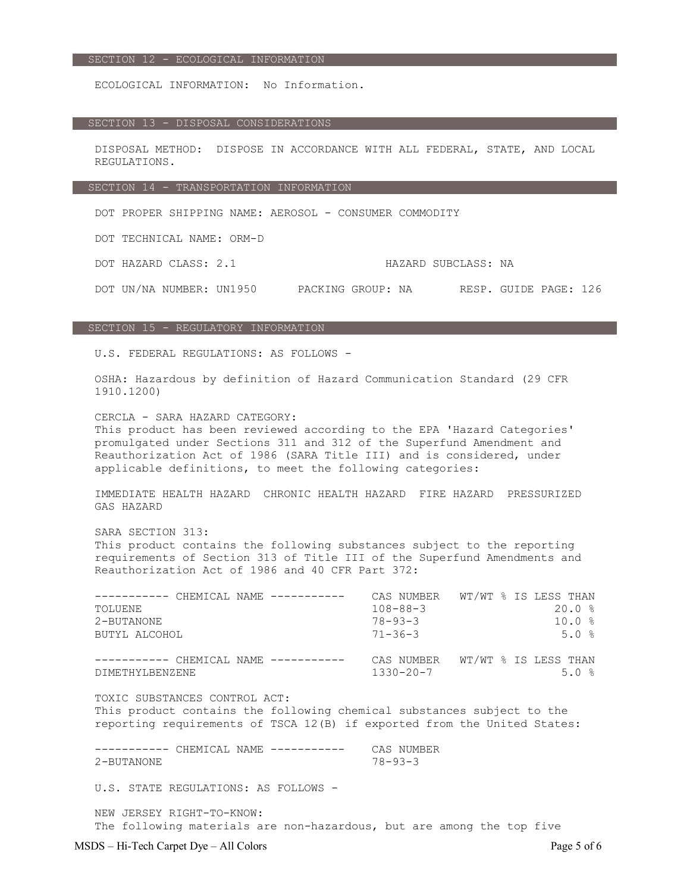#### SECTION 12 - ECOLOGICAL INFORMATION

ECOLOGICAL INFORMATION: No Information.

# SECTION 13 - DISPOSAL CONSIDERATIONS

 DISPOSAL METHOD: DISPOSE IN ACCORDANCE WITH ALL FEDERAL, STATE, AND LOCAL REGULATIONS.

#### SECTION 14 - TRANSPORTATION INFORMATION

DOT PROPER SHIPPING NAME: AEROSOL - CONSUMER COMMODITY

DOT TECHNICAL NAME: ORM-D

DOT HAZARD CLASS: 2.1 HAZARD SUBCLASS: NA

DOT UN/NA NUMBER: UN1950 PACKING GROUP: NA RESP. GUIDE PAGE: 126

## SECTION 15 - REGULATORY INFORMATION

U.S. FEDERAL REGULATIONS: AS FOLLOWS -

 OSHA: Hazardous by definition of Hazard Communication Standard (29 CFR 1910.1200)

 CERCLA - SARA HAZARD CATEGORY: This product has been reviewed according to the EPA 'Hazard Categories' promulgated under Sections 311 and 312 of the Superfund Amendment and Reauthorization Act of 1986 (SARA Title III) and is considered, under applicable definitions, to meet the following categories:

 IMMEDIATE HEALTH HAZARD CHRONIC HEALTH HAZARD FIRE HAZARD PRESSURIZED GAS HAZARD

 SARA SECTION 313: This product contains the following substances subject to the reporting requirements of Section 313 of Title III of the Superfund Amendments and Reauthorization Act of 1986 and 40 CFR Part 372:

| ----------- CHEMICAL NAME ----------- |                 | CAS NUMBER WT/WT % IS LESS THAN |
|---------------------------------------|-----------------|---------------------------------|
| TOLUENE                               | $108 - 88 - 3$  | 20.0%                           |
| 2-BUTANONE                            | $78 - 93 - 3$   | 10.0%                           |
| BUTYL ALCOHOL                         | $71 - 36 - 3$   | 5.0%                            |
|                                       |                 |                                 |
| ----------- CHEMICAL NAME ----------- | CAS NUMBER      | WT/WT % IS LESS THAN            |
| DIMETHYLBENZENE                       | $1330 - 20 - 7$ | 5.0%                            |

 TOXIC SUBSTANCES CONTROL ACT: This product contains the following chemical substances subject to the reporting requirements of TSCA 12(B) if exported from the United States:

 ----------- CHEMICAL NAME ----------- CAS NUMBER 2-BUTANONE 78-93-3

U.S. STATE REGULATIONS: AS FOLLOWS -

 NEW JERSEY RIGHT-TO-KNOW: The following materials are non-hazardous, but are among the top five